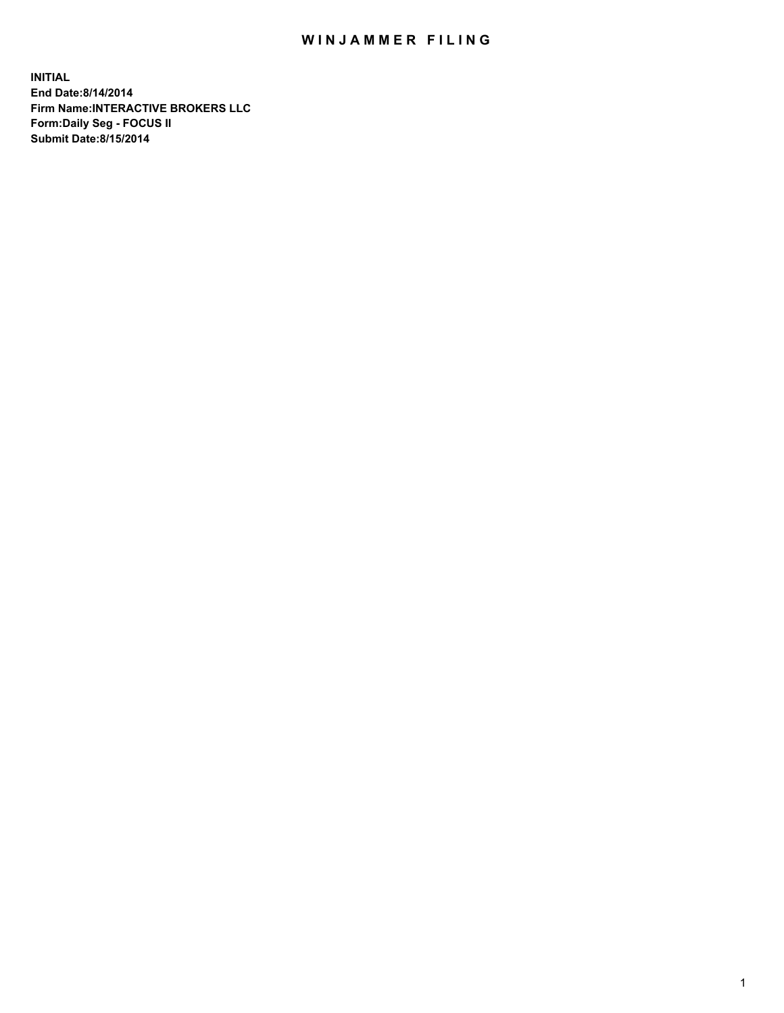## WIN JAMMER FILING

**INITIAL End Date:8/14/2014 Firm Name:INTERACTIVE BROKERS LLC Form:Daily Seg - FOCUS II Submit Date:8/15/2014**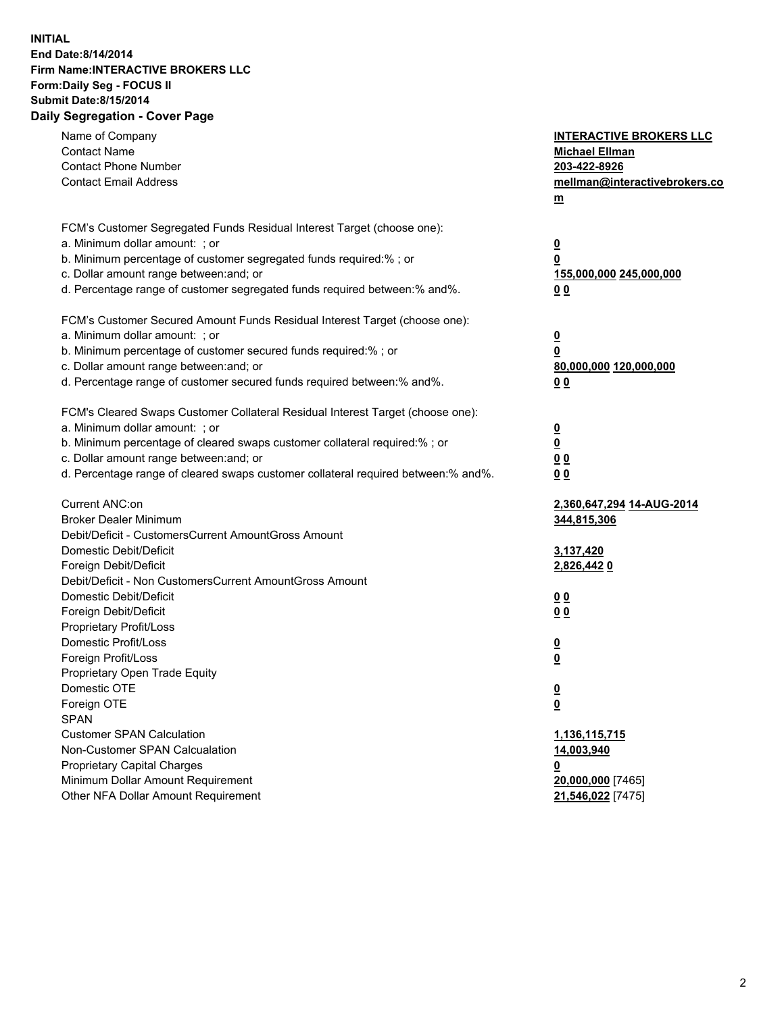## **INITIAL End Date:8/14/2014 Firm Name:INTERACTIVE BROKERS LLC Form:Daily Seg - FOCUS II Submit Date:8/15/2014 Daily Segregation - Cover Page**

| Name of Company<br><b>Contact Name</b><br><b>Contact Phone Number</b><br><b>Contact Email Address</b>    | <b>INTERACTIVE BROKERS LLC</b><br><b>Michael Ellman</b><br>203-422-8926<br>mellman@interactivebrokers.co<br>$m$ |
|----------------------------------------------------------------------------------------------------------|-----------------------------------------------------------------------------------------------------------------|
| FCM's Customer Segregated Funds Residual Interest Target (choose one):<br>a. Minimum dollar amount: ; or | $\overline{\mathbf{0}}$                                                                                         |
| b. Minimum percentage of customer segregated funds required:% ; or                                       | 0                                                                                                               |
| c. Dollar amount range between: and; or                                                                  | 155,000,000 245,000,000                                                                                         |
| d. Percentage range of customer segregated funds required between:% and%.                                | 0 <sub>0</sub>                                                                                                  |
| FCM's Customer Secured Amount Funds Residual Interest Target (choose one):                               |                                                                                                                 |
| a. Minimum dollar amount: ; or                                                                           | $\overline{\mathbf{0}}$                                                                                         |
| b. Minimum percentage of customer secured funds required:% ; or                                          | 0                                                                                                               |
| c. Dollar amount range between: and; or                                                                  | 80,000,000 120,000,000                                                                                          |
| d. Percentage range of customer secured funds required between:% and%.                                   | 0 <sub>0</sub>                                                                                                  |
| FCM's Cleared Swaps Customer Collateral Residual Interest Target (choose one):                           |                                                                                                                 |
| a. Minimum dollar amount: ; or                                                                           | $\overline{\mathbf{0}}$                                                                                         |
| b. Minimum percentage of cleared swaps customer collateral required:% ; or                               | $\overline{\mathbf{0}}$                                                                                         |
| c. Dollar amount range between: and; or                                                                  | 0 <sub>0</sub>                                                                                                  |
| d. Percentage range of cleared swaps customer collateral required between:% and%.                        | 0 <sub>0</sub>                                                                                                  |
| Current ANC:on                                                                                           | 2,360,647,294 14-AUG-2014                                                                                       |
| <b>Broker Dealer Minimum</b>                                                                             | 344,815,306                                                                                                     |
| Debit/Deficit - CustomersCurrent AmountGross Amount                                                      |                                                                                                                 |
| Domestic Debit/Deficit                                                                                   | 3,137,420                                                                                                       |
| Foreign Debit/Deficit                                                                                    | 2,826,4420                                                                                                      |
| Debit/Deficit - Non CustomersCurrent AmountGross Amount                                                  |                                                                                                                 |
| Domestic Debit/Deficit<br>Foreign Debit/Deficit                                                          | 0 <sub>0</sub>                                                                                                  |
| Proprietary Profit/Loss                                                                                  | 0 <sub>0</sub>                                                                                                  |
| Domestic Profit/Loss                                                                                     |                                                                                                                 |
| Foreign Profit/Loss                                                                                      | $\overline{\mathbf{0}}$<br>$\underline{\mathbf{0}}$                                                             |
| Proprietary Open Trade Equity                                                                            |                                                                                                                 |
| Domestic OTE                                                                                             | <u>0</u>                                                                                                        |
| Foreign OTE                                                                                              | <u>0</u>                                                                                                        |
| <b>SPAN</b>                                                                                              |                                                                                                                 |
| <b>Customer SPAN Calculation</b>                                                                         | 1,136,115,715                                                                                                   |
| Non-Customer SPAN Calcualation                                                                           | 14,003,940                                                                                                      |
| Proprietary Capital Charges                                                                              | <u>0</u>                                                                                                        |
| Minimum Dollar Amount Requirement                                                                        | 20,000,000 [7465]                                                                                               |
| Other NFA Dollar Amount Requirement                                                                      | 21,546,022 [7475]                                                                                               |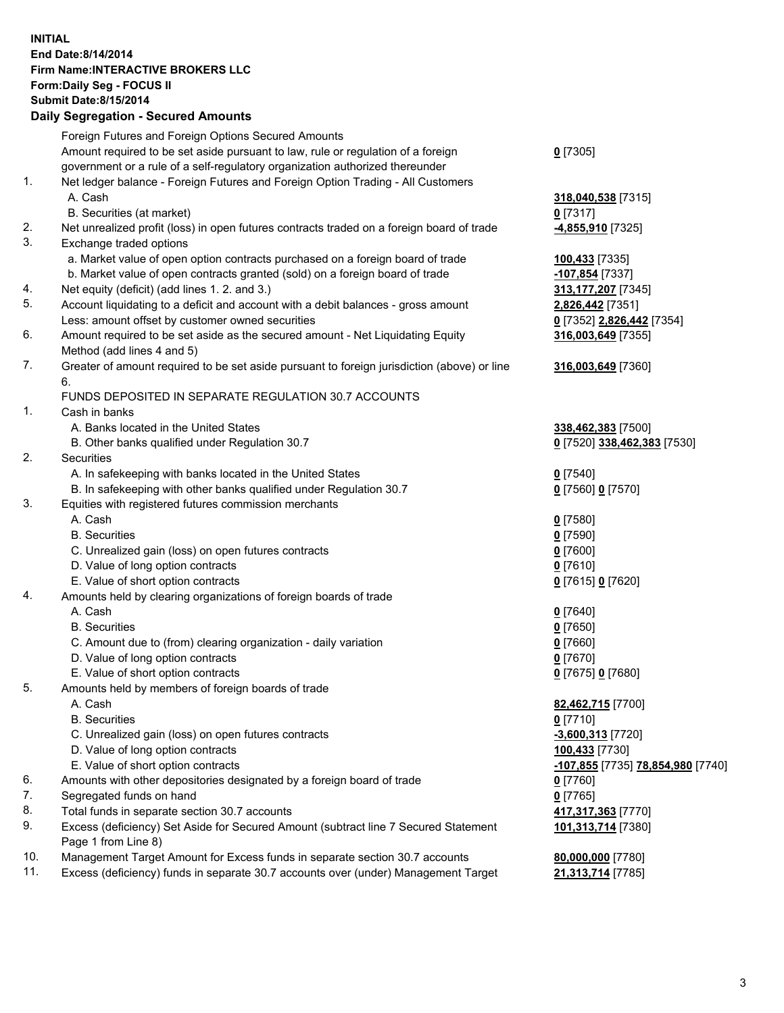## **INITIAL End Date:8/14/2014 Firm Name:INTERACTIVE BROKERS LLC Form:Daily Seg - FOCUS II Submit Date:8/15/2014 Daily Segregation - Secured Amounts**

|                | Daily Jegregation - Jeculed Aniounts                                                                       |                                   |
|----------------|------------------------------------------------------------------------------------------------------------|-----------------------------------|
|                | Foreign Futures and Foreign Options Secured Amounts                                                        |                                   |
|                | Amount required to be set aside pursuant to law, rule or regulation of a foreign                           | $0$ [7305]                        |
|                | government or a rule of a self-regulatory organization authorized thereunder                               |                                   |
| 1.             | Net ledger balance - Foreign Futures and Foreign Option Trading - All Customers                            |                                   |
|                | A. Cash                                                                                                    | 318,040,538 [7315]                |
|                | B. Securities (at market)                                                                                  | $0$ [7317]                        |
| 2.             | Net unrealized profit (loss) in open futures contracts traded on a foreign board of trade                  | 4,855,910 [7325]                  |
| 3.             | Exchange traded options                                                                                    |                                   |
|                | a. Market value of open option contracts purchased on a foreign board of trade                             | 100,433 [7335]                    |
|                | b. Market value of open contracts granted (sold) on a foreign board of trade                               | -107,854 [7337]                   |
| 4.             | Net equity (deficit) (add lines 1.2. and 3.)                                                               | 313, 177, 207 [7345]              |
| 5.             | Account liquidating to a deficit and account with a debit balances - gross amount                          | 2,826,442 [7351]                  |
|                | Less: amount offset by customer owned securities                                                           | 0 [7352] 2,826,442 [7354]         |
| 6.             | Amount required to be set aside as the secured amount - Net Liquidating Equity                             | 316,003,649 [7355]                |
|                | Method (add lines 4 and 5)                                                                                 |                                   |
| 7.             | Greater of amount required to be set aside pursuant to foreign jurisdiction (above) or line                | 316,003,649 [7360]                |
|                | 6.                                                                                                         |                                   |
|                | FUNDS DEPOSITED IN SEPARATE REGULATION 30.7 ACCOUNTS                                                       |                                   |
| $\mathbf{1}$ . | Cash in banks                                                                                              |                                   |
|                | A. Banks located in the United States                                                                      | 338,462,383 [7500]                |
|                | B. Other banks qualified under Regulation 30.7                                                             | 0 [7520] 338,462,383 [7530]       |
| 2.             | Securities                                                                                                 |                                   |
|                | A. In safekeeping with banks located in the United States                                                  | $0$ [7540]                        |
|                | B. In safekeeping with other banks qualified under Regulation 30.7                                         | 0 [7560] 0 [7570]                 |
| 3.             | Equities with registered futures commission merchants                                                      |                                   |
|                | A. Cash                                                                                                    | $0$ [7580]                        |
|                | <b>B.</b> Securities                                                                                       | $0$ [7590]                        |
|                | C. Unrealized gain (loss) on open futures contracts                                                        | $0$ [7600]                        |
|                | D. Value of long option contracts                                                                          | $0$ [7610]                        |
|                | E. Value of short option contracts                                                                         | 0 [7615] 0 [7620]                 |
| 4.             | Amounts held by clearing organizations of foreign boards of trade                                          |                                   |
|                | A. Cash                                                                                                    | $0$ [7640]                        |
|                | <b>B.</b> Securities                                                                                       | $0$ [7650]                        |
|                | C. Amount due to (from) clearing organization - daily variation                                            | $0$ [7660]                        |
|                | D. Value of long option contracts                                                                          | $0$ [7670]                        |
|                | E. Value of short option contracts                                                                         | 0 [7675] 0 [7680]                 |
| 5.             | Amounts held by members of foreign boards of trade                                                         |                                   |
|                | A. Cash                                                                                                    | 82,462,715 [7700]                 |
|                | <b>B.</b> Securities                                                                                       | $0$ [7710]                        |
|                | C. Unrealized gain (loss) on open futures contracts                                                        | $-3,600,313$ [7720]               |
|                | D. Value of long option contracts                                                                          | 100,433 [7730]                    |
|                | E. Value of short option contracts                                                                         | -107,855 [7735] 78,854,980 [7740] |
| 6.             | Amounts with other depositories designated by a foreign board of trade                                     | $0$ [7760]                        |
| 7.             | Segregated funds on hand                                                                                   | $0$ [7765]                        |
| 8.             | Total funds in separate section 30.7 accounts                                                              | 417,317,363 [7770]                |
| 9.             | Excess (deficiency) Set Aside for Secured Amount (subtract line 7 Secured Statement<br>Page 1 from Line 8) | 101,313,714 [7380]                |
| 10.            | Management Target Amount for Excess funds in separate section 30.7 accounts                                | 80,000,000 [7780]                 |
| 11.            | Excess (deficiency) funds in separate 30.7 accounts over (under) Management Target                         | 21,313,714 [7785]                 |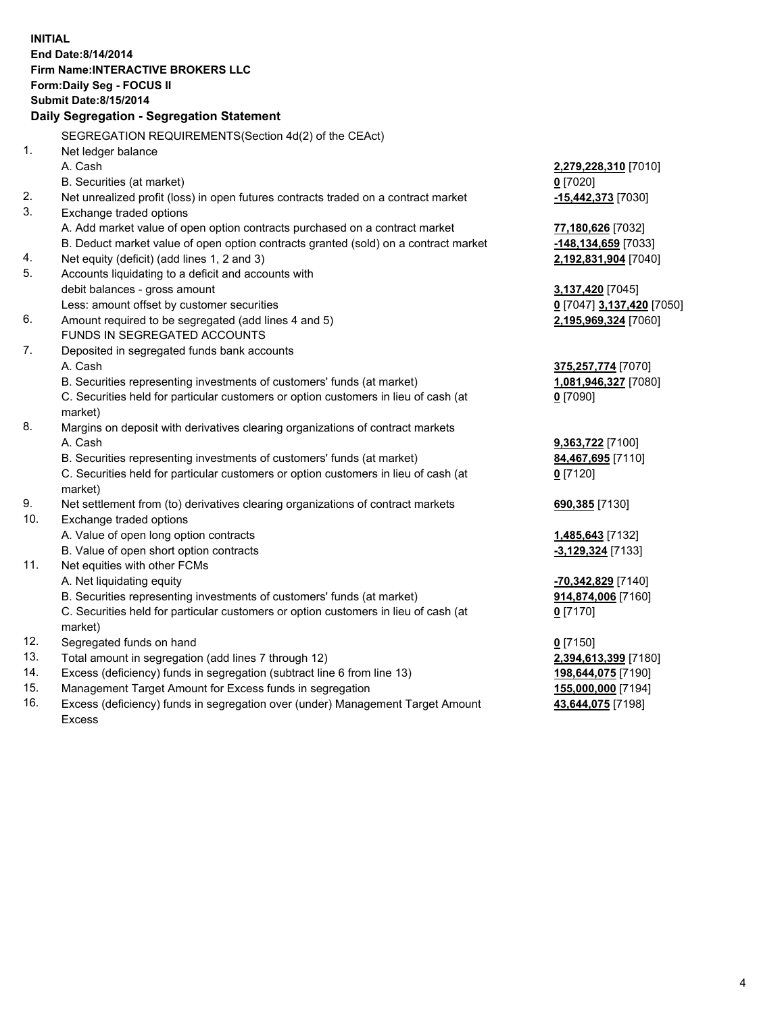**INITIAL End Date:8/14/2014 Firm Name:INTERACTIVE BROKERS LLC Form:Daily Seg - FOCUS II Submit Date:8/15/2014 Daily Segregation - Segregation Statement** SEGREGATION REQUIREMENTS(Section 4d(2) of the CEAct) 1. Net ledger balance A. Cash **2,279,228,310** [7010] B. Securities (at market) **0** [7020] 2. Net unrealized profit (loss) in open futures contracts traded on a contract market **-15,442,373** [7030] 3. Exchange traded options A. Add market value of open option contracts purchased on a contract market **77,180,626** [7032] B. Deduct market value of open option contracts granted (sold) on a contract market **-148,134,659** [7033] 4. Net equity (deficit) (add lines 1, 2 and 3) **2,192,831,904** [7040] 5. Accounts liquidating to a deficit and accounts with debit balances - gross amount **3,137,420** [7045] Less: amount offset by customer securities **0** [7047] **3,137,420** [7050] 6. Amount required to be segregated (add lines 4 and 5) **2,195,969,324** [7060] FUNDS IN SEGREGATED ACCOUNTS 7. Deposited in segregated funds bank accounts A. Cash **375,257,774** [7070] B. Securities representing investments of customers' funds (at market) **1,081,946,327** [7080] C. Securities held for particular customers or option customers in lieu of cash (at market) **0** [7090] 8. Margins on deposit with derivatives clearing organizations of contract markets A. Cash **9,363,722** [7100] B. Securities representing investments of customers' funds (at market) **84,467,695** [7110] C. Securities held for particular customers or option customers in lieu of cash (at market) **0** [7120] 9. Net settlement from (to) derivatives clearing organizations of contract markets **690,385** [7130] 10. Exchange traded options A. Value of open long option contracts **1,485,643** [7132] B. Value of open short option contracts **-3,129,324** [7133] 11. Net equities with other FCMs A. Net liquidating equity **-70,342,829** [7140] B. Securities representing investments of customers' funds (at market) **914,874,006** [7160] C. Securities held for particular customers or option customers in lieu of cash (at market) **0** [7170] 12. Segregated funds on hand **0** [7150] 13. Total amount in segregation (add lines 7 through 12) **2,394,613,399** [7180] 14. Excess (deficiency) funds in segregation (subtract line 6 from line 13) **198,644,075** [7190] 15. Management Target Amount for Excess funds in segregation **155,000,000** [7194]

16. Excess (deficiency) funds in segregation over (under) Management Target Amount Excess

**43,644,075** [7198]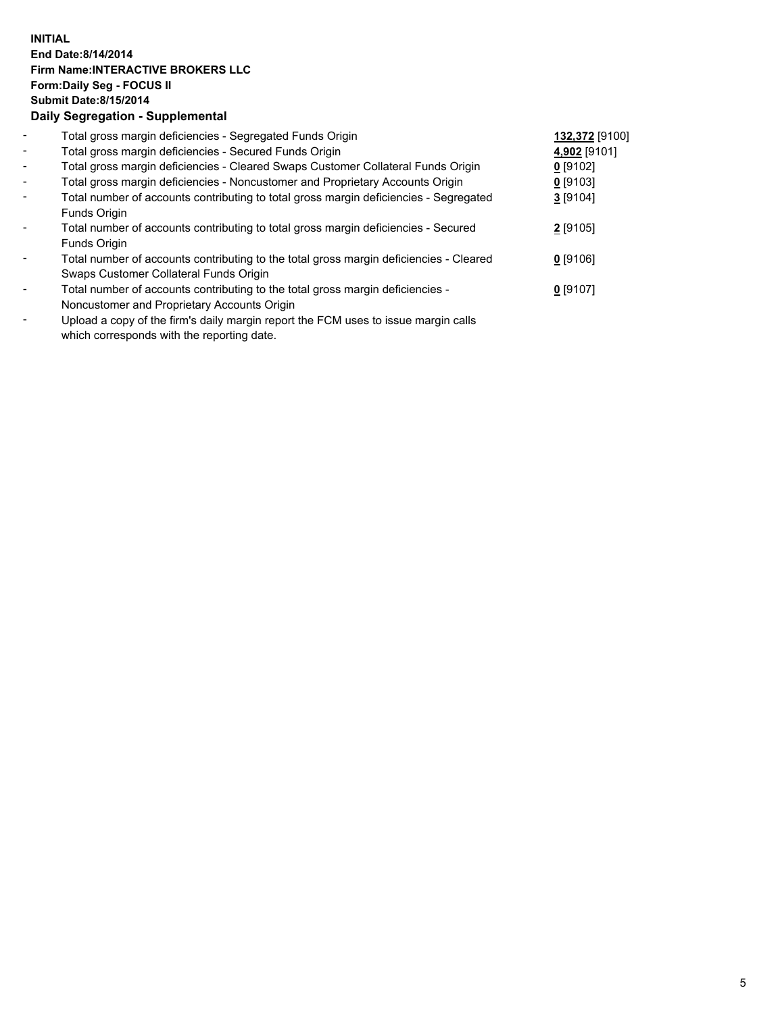## **INITIAL End Date:8/14/2014 Firm Name:INTERACTIVE BROKERS LLC Form:Daily Seg - FOCUS II Submit Date:8/15/2014 Daily Segregation - Supplemental**

| $\overline{\phantom{a}}$ | Total gross margin deficiencies - Segregated Funds Origin                              | 132,372 [9100] |  |
|--------------------------|----------------------------------------------------------------------------------------|----------------|--|
| $\sim$                   | Total gross margin deficiencies - Secured Funds Origin                                 | 4,902 [9101]   |  |
| $\blacksquare$           | Total gross margin deficiencies - Cleared Swaps Customer Collateral Funds Origin       | $0$ [9102]     |  |
| $\blacksquare$           | Total gross margin deficiencies - Noncustomer and Proprietary Accounts Origin          | $0$ [9103]     |  |
| $\blacksquare$           | Total number of accounts contributing to total gross margin deficiencies - Segregated  | $3$ [9104]     |  |
|                          | Funds Origin                                                                           |                |  |
|                          | Total number of accounts contributing to total gross margin deficiencies - Secured     | 2 [9105]       |  |
|                          | Funds Origin                                                                           |                |  |
|                          | Total number of accounts contributing to the total gross margin deficiencies - Cleared | $0$ [9106]     |  |
|                          | Swaps Customer Collateral Funds Origin                                                 |                |  |
|                          | Total number of accounts contributing to the total gross margin deficiencies -         | $0$ [9107]     |  |
|                          | Noncustomer and Proprietary Accounts Origin                                            |                |  |
|                          |                                                                                        |                |  |

- Upload a copy of the firm's daily margin report the FCM uses to issue margin calls which corresponds with the reporting date.